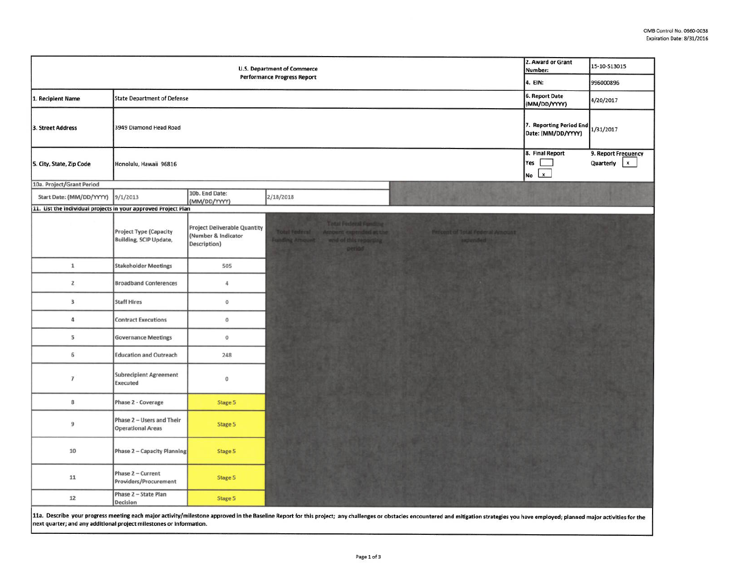|                                                                | 2. Award or Grant<br>Number:<br>4. EIN:                 | 15-10-513015<br>996000896                                                  |                                                                                                                                                                                           |                                                               |                                                               |
|----------------------------------------------------------------|---------------------------------------------------------|----------------------------------------------------------------------------|-------------------------------------------------------------------------------------------------------------------------------------------------------------------------------------------|---------------------------------------------------------------|---------------------------------------------------------------|
| 1. Recipient Name                                              | 6. Report Date                                          | 4/20/2017                                                                  |                                                                                                                                                                                           |                                                               |                                                               |
| 3. Street Address                                              | 3949 Diamond Head Road                                  |                                                                            |                                                                                                                                                                                           | (MM/DD/YYYY)<br>7. Reporting Period End<br>Date: (MM/DD/YYYY) | 1/31/2017                                                     |
| 5. City, State, Zip Code                                       | Honolulu, Hawaii 96816                                  |                                                                            |                                                                                                                                                                                           | 8. Final Report<br>Yes<br>$\mathbf{x}$<br>No                  | 9. Report Frequency<br>Quarterly<br>$\boldsymbol{\mathsf{x}}$ |
| 10a. Project/Grant Period                                      |                                                         |                                                                            |                                                                                                                                                                                           |                                                               |                                                               |
| Start Date: (MM/DD/YYYY)                                       | 9/1/2013                                                | 10b. End Date:<br>(MM/DD/YYYY)                                             | 2/18/2018                                                                                                                                                                                 |                                                               |                                                               |
| 11. List the individual projects in your approved Project Plan |                                                         |                                                                            |                                                                                                                                                                                           |                                                               |                                                               |
|                                                                | <b>Project Type (Capacity</b><br>Building, SCIP Update, | <b>Project Deliverable Quantity</b><br>(Number & Indicator<br>Description) | <b>Total Federal Funding</b><br>Amount expended at the<br>Percent of Total Federal Amount<br><b>Total Federal</b><br><b>Funding Amount</b><br>and of this reporting<br>expended<br>period |                                                               |                                                               |
| $\mathbf 1$                                                    | <b>Stakeholder Meetings</b>                             | 505                                                                        |                                                                                                                                                                                           |                                                               |                                                               |
| $\overline{2}$                                                 | <b>Broadband Conferences</b>                            | 4                                                                          |                                                                                                                                                                                           |                                                               |                                                               |
| 3                                                              | <b>Staff Hires</b>                                      | $\circ$                                                                    |                                                                                                                                                                                           |                                                               |                                                               |
| $\sqrt{4}$                                                     | <b>Contract Executions</b>                              | $\mathbf 0$                                                                |                                                                                                                                                                                           |                                                               |                                                               |
| 5                                                              | <b>Governance Meetings</b>                              | $\mathbf 0$                                                                |                                                                                                                                                                                           |                                                               |                                                               |
| 6                                                              | <b>Education and Outreach</b>                           | 248                                                                        |                                                                                                                                                                                           |                                                               |                                                               |
| $\overline{7}$                                                 | <b>Subrecipient Agreement</b><br>Executed               | $\mathbf 0$                                                                |                                                                                                                                                                                           |                                                               |                                                               |
| 8                                                              | Phase 2 - Coverage                                      | Stage 5                                                                    |                                                                                                                                                                                           |                                                               |                                                               |
| $\overline{9}$                                                 | Phase 2 - Users and Their<br><b>Operational Areas</b>   | Stage 5                                                                    |                                                                                                                                                                                           |                                                               |                                                               |
| 10                                                             | Phase 2 - Capacity Planning                             | Stage 5                                                                    |                                                                                                                                                                                           |                                                               |                                                               |
| 11                                                             | Phase 2 - Current<br>Providers/Procurement              | Stage 5                                                                    |                                                                                                                                                                                           |                                                               |                                                               |
| 12                                                             | Phase 2 - State Plan<br>Decision                        | Stage 5                                                                    |                                                                                                                                                                                           |                                                               |                                                               |

11a. Describe your progress meeting each major activity/milestone approved in the Baseline Report for this project; any challenges or obstacles encountered and mitigation strategies you have employed; planned major activit next quarter; and any additional project milestones or Information.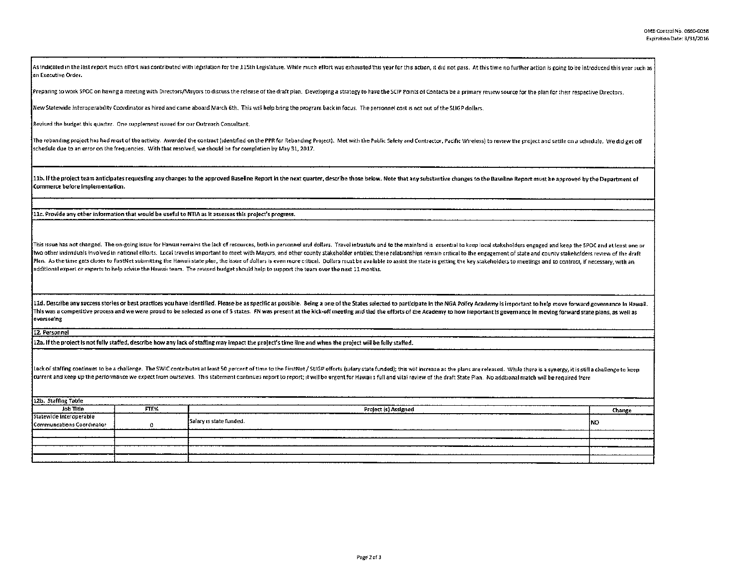As indicated in the last report much effort was contributed with legislation for the 115th Legislature. While much effort was exhausted this year for this action, it did not pass. At this time no further action is going to an Executive Order.

Preparing to work SPOC on having a meeting with Directors/Mayors to discuss the release of the draft plan. Developing a strategy to have the SCIP Points of Contacts be a primary review source for the plan for their respect

New Statewide Interoperability Coordinator as hired and came aboard March 6th. This will help bring the program back in focus. The personnel cost is not out of the SLIGP dollars.

Revised the budget this quarter. One supplement issued for our Outreach Consultant.

The rebanding project has had most of the activity. Awarded the contract (identified on the PPR for Rebanding Project). Met with the Public Safety and Contractor, Pacific Wireless) to review the project and settle on a sch schedule due to an error on the frequencies. With that resolved, we should be for completion by May 31, 2017.  $\,$ 

11b. If the project team anticipates requesting any changes to the approved Baseline Report in the next quarter, describe those below. Note that any substantive changes to the Baseline Report must be approved by the Depart Commerce before Implementation.

llc. Provide any other information that would be useful to NTIA as lt assesses thls project's progress.

Fhis issue has not changed. The on-going issue for Hawau remains the lack of resources, both in personnel and dollars. Travel intrastate and to the mainland is essential to keep local stakeholders engaged and keep the SPOC lwo other individuals involved in national efforts. Local travel is important to meet with Mayors, and other county stakeholder entities; these relationships remain critical to the engagement of state and county stakeholde Plan. As the time gets closer to FirstNet submitting the Hawaii state plan, the issue of dollars is even more critical. Dollars must be available to assist the state in getting the key stakeholders to meetings and to contr additional expert or experts to help advise the Hawai, team. The revised budget should help to support the team over the next 11 months.

11d. Describe any success stories or best practices you have identified. Please be as specific as possible. Being a one of the States selected to participate in the NGA Policy Academy is important to help move forward gove This was a competitive process and we were proud to be selected as one of 5 states. FN was present at the kick-off meeting and tied the efforts of the Academy to how important is governance in moving forward state plans, a overseeing

12. Personnel

l2a. If the project Is not fully statred, describe how any lack of staffing may Impact the pro!ect's time Hne and when the project will be folly staffed.

Lack of staffing continues to be a challenge. The SWIC contributes at least 50 percent of time to the FirstNet / SUGF efforts (salary state funded); this will increase as the plans are released. While there is a synergy, i current and keep up the performance we expect from ourselves. This statement contmues report to report; it will be urgent for Hawaii's full and vital review of the draft State Plan. No addtional match will be required from

12b. Staffing Table Job Title == Project (s) Assigned Project (s) Assigned Change Change Change Change Change Change Change Change Change Change Change Change Change Change Change Change Change Change Change Change Change Change (S) Assigned